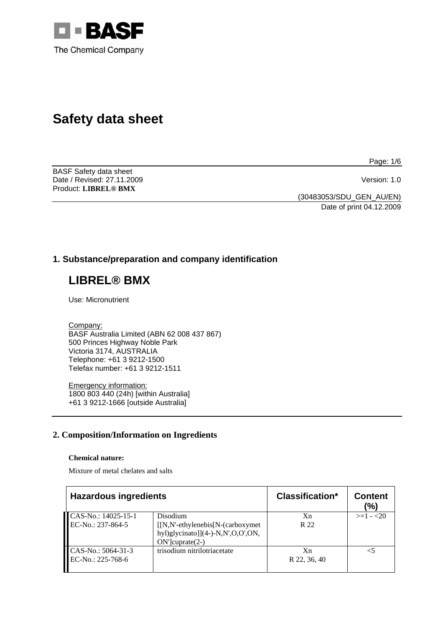

# **Safety data sheet**

BASF Safety data sheet Date / Revised: 27.11.2009 Version: 1.0 Product: **LIBREL® BMX**

Page: 1/6

(30483053/SDU\_GEN\_AU/EN) Date of print 04.12.2009

# **1. Substance/preparation and company identification**

# **LIBREL® BMX**

Use: Micronutrient

Company:

BASF Australia Limited (ABN 62 008 437 867) 500 Princes Highway Noble Park Victoria 3174, AUSTRALIA Telephone: +61 3 9212-1500 Telefax number: +61 3 9212-1511

Emergency information: 1800 803 440 (24h) [within Australia] +61 3 9212-1666 [outside Australia]

# **2. Composition/Information on Ingredients**

#### **Chemical nature:**

Mixture of metal chelates and salts

| <b>Hazardous ingredients</b>             |                                                                                             | <b>Classification*</b> | <b>Content</b><br>(%) |
|------------------------------------------|---------------------------------------------------------------------------------------------|------------------------|-----------------------|
| CAS-No.: 14025-15-1<br>EC-No.: 237-864-5 | Disodium<br>$[[N,N'-ethy]$ enebis $[N-(carboxymet$<br>hyl)glycinato]] $(4-)$ -N,N',O,O',ON, | Xn<br>R 22             | $>=1 - 20$            |
| CAS-No.: 5064-31-3<br>EC-No.: 225-768-6  | $ON$ " $cup rate(2-)$<br>trisodium nitrilotriacetate                                        | Xn<br>R 22, 36, 40     |                       |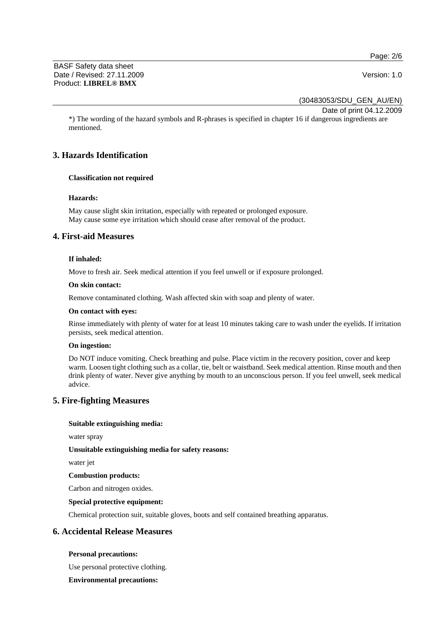Page: 2/6

BASF Safety data sheet Date / Revised: 27.11.2009 **Version: 1.0** Product: **LIBREL® BMX**

(30483053/SDU\_GEN\_AU/EN)

Date of print 04.12.2009

\*) The wording of the hazard symbols and R-phrases is specified in chapter 16 if dangerous ingredients are mentioned.

# **3. Hazards Identification**

### **Classification not required**

#### **Hazards:**

May cause slight skin irritation, especially with repeated or prolonged exposure. May cause some eye irritation which should cease after removal of the product.

# **4. First-aid Measures**

### **If inhaled:**

Move to fresh air. Seek medical attention if you feel unwell or if exposure prolonged.

#### **On skin contact:**

Remove contaminated clothing. Wash affected skin with soap and plenty of water.

#### **On contact with eyes:**

Rinse immediately with plenty of water for at least 10 minutes taking care to wash under the eyelids. If irritation persists, seek medical attention.

#### **On ingestion:**

Do NOT induce vomiting. Check breathing and pulse. Place victim in the recovery position, cover and keep warm. Loosen tight clothing such as a collar, tie, belt or waistband. Seek medical attention. Rinse mouth and then drink plenty of water. Never give anything by mouth to an unconscious person. If you feel unwell, seek medical advice.

# **5. Fire-fighting Measures**

#### **Suitable extinguishing media:**

water spray

#### **Unsuitable extinguishing media for safety reasons:**

water jet

#### **Combustion products:**

Carbon and nitrogen oxides.

#### **Special protective equipment:**

Chemical protection suit, suitable gloves, boots and self contained breathing apparatus.

# **6. Accidental Release Measures**

#### **Personal precautions:**

Use personal protective clothing.

#### **Environmental precautions:**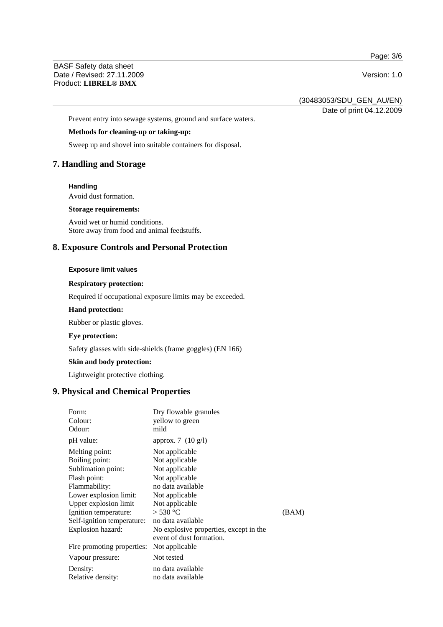Page: 3/6

BASF Safety data sheet Date / Revised: 27.11.2009 Version: 1.0 Product: **LIBREL® BMX**

(30483053/SDU\_GEN\_AU/EN)

Date of print 04.12.2009

Prevent entry into sewage systems, ground and surface waters.

### **Methods for cleaning-up or taking-up:**

Sweep up and shovel into suitable containers for disposal.

# **7. Handling and Storage**

#### **Handling**

Avoid dust formation.

#### **Storage requirements:**

Avoid wet or humid conditions. Store away from food and animal feedstuffs.

### **8. Exposure Controls and Personal Protection**

#### **Exposure limit values**

#### **Respiratory protection:**

Required if occupational exposure limits may be exceeded.

#### **Hand protection:**

Rubber or plastic gloves.

#### **Eye protection:**

Safety glasses with side-shields (frame goggles) (EN 166)

# **Skin and body protection:**

Lightweight protective clothing.

# **9. Physical and Chemical Properties**

| Form:<br>Colour:<br>Odour:       | Dry flowable granules<br>yellow to green<br>mild |       |
|----------------------------------|--------------------------------------------------|-------|
| pH value:                        | approx. 7 $(10 \text{ g/l})$                     |       |
| Melting point:<br>Boiling point: | Not applicable<br>Not applicable                 |       |
| Sublimation point:               | Not applicable                                   |       |
| Flash point:                     | Not applicable                                   |       |
| Flammability:                    | no data available                                |       |
| Lower explosion limit:           | Not applicable                                   |       |
| Upper explosion limit            | Not applicable                                   |       |
| Ignition temperature:            | $>$ 530 °C                                       | (BAM) |
| Self-ignition temperature:       | no data available                                |       |
| Explosion hazard:                | No explosive properties, except in the           |       |
|                                  | event of dust formation.                         |       |
| Fire promoting properties:       | Not applicable                                   |       |
| Vapour pressure:                 | Not tested                                       |       |
| Density:                         | no data available                                |       |
| Relative density:                | no data available                                |       |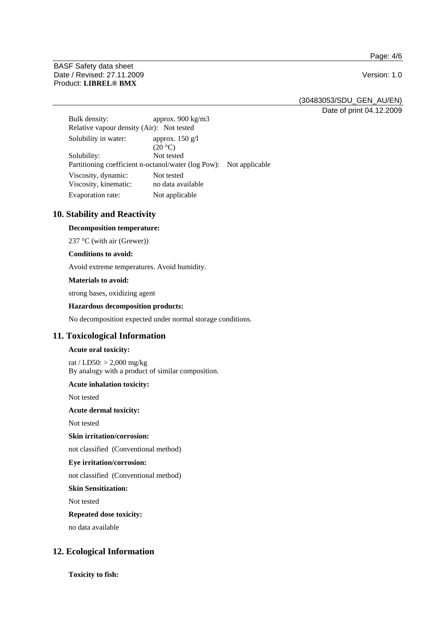Page: 4/6

BASF Safety data sheet Date / Revised: 27.11.2009 Version: 1.0 Product: **LIBREL® BMX**

(30483053/SDU\_GEN\_AU/EN)

Date of print 04.12.2009

Bulk density: approx. 900 kg/m3 Relative vapour density (Air): Not tested Solubility in water: approx. 150 g/l  $(20 °C)$ Solubility: Not tested Partitioning coefficient n-octanol/water (log Pow): Not applicable Viscosity, dynamic: Not tested Viscosity, kinematic: no data available Evaporation rate: Not applicable

# **10. Stability and Reactivity**

### **Decomposition temperature:**

237 °C (with air (Grewer))

#### **Conditions to avoid:**

Avoid extreme temperatures. Avoid humidity.

#### **Materials to avoid:**

strong bases, oxidizing agent

#### **Hazardous decomposition products:**

No decomposition expected under normal storage conditions.

# **11. Toxicological Information**

#### **Acute oral toxicity:**

rat / LD50: > 2,000 mg/kg By analogy with a product of similar composition.

#### **Acute inhalation toxicity:**

Not tested

#### **Acute dermal toxicity:**

Not tested

### **Skin irritation/corrosion:**

not classified (Conventional method)

#### **Eye irritation/corrosion:**

not classified (Conventional method)

#### **Skin Sensitization:**

Not tested

#### **Repeated dose toxicity:**

no data available

# **12. Ecological Information**

**Toxicity to fish:**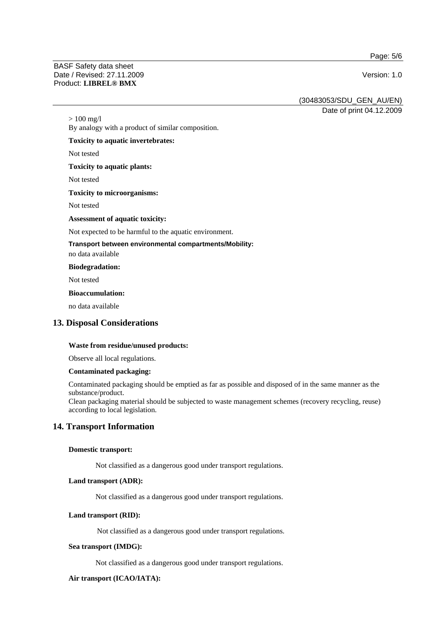Page: 5/6

#### BASF Safety data sheet Date / Revised: 27.11.2009 Version: 1.0 Product: **LIBREL® BMX**

(30483053/SDU\_GEN\_AU/EN)

Date of print 04.12.2009

By analogy with a product of similar composition.

#### **Toxicity to aquatic invertebrates:**

Not tested

 $> 100$  mg/l

**Toxicity to aquatic plants:** 

Not tested

#### **Toxicity to microorganisms:**

Not tested

#### **Assessment of aquatic toxicity:**

Not expected to be harmful to the aquatic environment.

#### **Transport between environmental compartments/Mobility:**

no data available

#### **Biodegradation:**

Not tested

#### **Bioaccumulation:**

no data available

# **13. Disposal Considerations**

#### **Waste from residue/unused products:**

Observe all local regulations.

#### **Contaminated packaging:**

Contaminated packaging should be emptied as far as possible and disposed of in the same manner as the substance/product.

Clean packaging material should be subjected to waste management schemes (recovery recycling, reuse) according to local legislation.

# **14. Transport Information**

#### **Domestic transport:**

Not classified as a dangerous good under transport regulations.

### **Land transport (ADR):**

Not classified as a dangerous good under transport regulations.

#### **Land transport (RID):**

Not classified as a dangerous good under transport regulations.

#### **Sea transport (IMDG):**

Not classified as a dangerous good under transport regulations.

#### **Air transport (ICAO/IATA):**